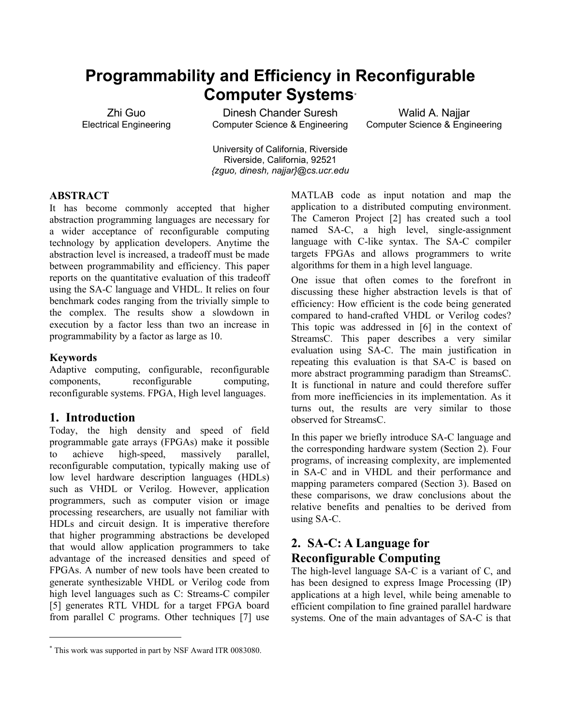# **Programmability and Efficiency in Reconfigurable Computer Systems[\\*](#page-0-0)**

Zhi Guo Electrical Engineering

Dinesh Chander Suresh Computer Science & Engineering

Walid A. Naijar Computer Science & Engineering

University of California, Riverside Riverside, California, 92521 *{zguo, dinesh, najjar}@cs.ucr.edu*

### **ABSTRACT**

It has become commonly accepted that higher abstraction programming languages are necessary for a wider acceptance of reconfigurable computing technology by application developers. Anytime the abstraction level is increased, a tradeoff must be made between programmability and efficiency. This paper reports on the quantitative evaluation of this tradeoff using the SA-C language and VHDL. It relies on four benchmark codes ranging from the trivially simple to the complex. The results show a slowdown in execution by a factor less than two an increase in programmability by a factor as large as 10.

### **Keywords**

l

Adaptive computing, configurable, reconfigurable components, reconfigurable computing, reconfigurable systems. FPGA, High level languages.

### **1. Introduction**

Today, the high density and speed of field programmable gate arrays (FPGAs) make it possible to achieve high-speed, massively parallel, reconfigurable computation, typically making use of low level hardware description languages (HDLs) such as VHDL or Verilog. However, application programmers, such as computer vision or image processing researchers, are usually not familiar with HDLs and circuit design. It is imperative therefore that higher programming abstractions be developed that would allow application programmers to take advantage of the increased densities and speed of FPGAs. A number of new tools have been created to generate synthesizable VHDL or Verilog code from high level languages such as C: Streams-C compiler [5] generates RTL VHDL for a target FPGA board from parallel C programs. Other techniques [7] use MATLAB code as input notation and map the application to a distributed computing environment. The Cameron Project [2] has created such a tool named SA-C, a high level, single-assignment language with C-like syntax. The SA-C compiler targets FPGAs and allows programmers to write algorithms for them in a high level language.

One issue that often comes to the forefront in discussing these higher abstraction levels is that of efficiency: How efficient is the code being generated compared to hand-crafted VHDL or Verilog codes? This topic was addressed in [6] in the context of StreamsC. This paper describes a very similar evaluation using SA-C. The main justification in repeating this evaluation is that SA-C is based on more abstract programming paradigm than StreamsC. It is functional in nature and could therefore suffer from more inefficiencies in its implementation. As it turns out, the results are very similar to those observed for StreamsC.

In this paper we briefly introduce SA-C language and the corresponding hardware system (Section 2). Four programs, of increasing complexity, are implemented in SA-C and in VHDL and their performance and mapping parameters compared (Section 3). Based on these comparisons, we draw conclusions about the relative benefits and penalties to be derived from using SA-C.

# **2. SA-C: A Language for Reconfigurable Computing**

The high-level language SA-C is a variant of C, and has been designed to express Image Processing (IP) applications at a high level, while being amenable to efficient compilation to fine grained parallel hardware systems. One of the main advantages of SA-C is that

<span id="page-0-0"></span><sup>\*</sup> This work was supported in part by NSF Award ITR 0083080.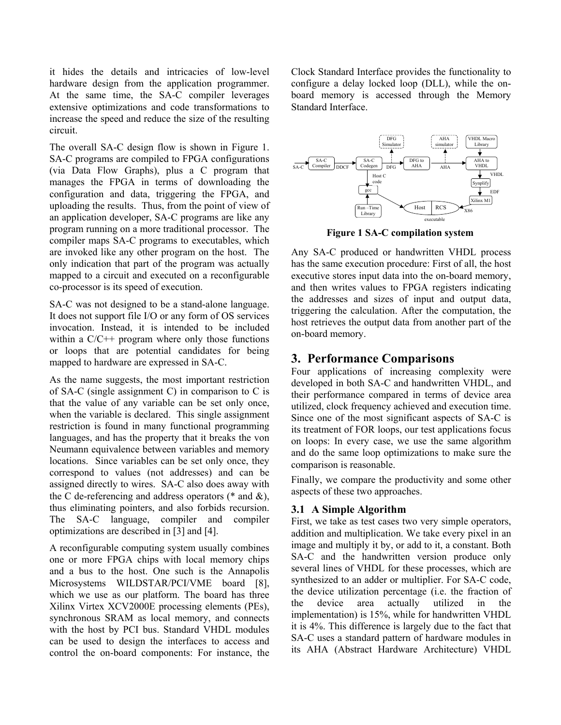it hides the details and intricacies of low-level hardware design from the application programmer. At the same time, the SA-C compiler leverages extensive optimizations and code transformations to increase the speed and reduce the size of the resulting circuit.

The overall SA-C design flow is shown in Figure 1. SA-C programs are compiled to FPGA configurations (via Data Flow Graphs), plus a C program that manages the FPGA in terms of downloading the configuration and data, triggering the FPGA, and uploading the results. Thus, from the point of view of an application developer, SA-C programs are like any program running on a more traditional processor. The compiler maps SA-C programs to executables, which are invoked like any other program on the host. The only indication that part of the program was actually mapped to a circuit and executed on a reconfigurable co-processor is its speed of execution.

SA-C was not designed to be a stand-alone language. It does not support file I/O or any form of OS services invocation. Instead, it is intended to be included within a  $C/C++$  program where only those functions or loops that are potential candidates for being mapped to hardware are expressed in SA-C.

As the name suggests, the most important restriction of SA-C (single assignment C) in comparison to C is that the value of any variable can be set only once, when the variable is declared. This single assignment restriction is found in many functional programming languages, and has the property that it breaks the von Neumann equivalence between variables and memory locations. Since variables can be set only once, they correspond to values (not addresses) and can be assigned directly to wires. SA-C also does away with the C de-referencing and address operators ( $*$  and  $\&$ ), thus eliminating pointers, and also forbids recursion. The SA-C language, compiler and compiler optimizations are described in [3] and [4].

A reconfigurable computing system usually combines one or more FPGA chips with local memory chips and a bus to the host. One such is the Annapolis Microsystems WILDSTAR/PCI/VME board [8], which we use as our platform. The board has three Xilinx Virtex XCV2000E processing elements (PEs), synchronous SRAM as local memory, and connects with the host by PCI bus. Standard VHDL modules can be used to design the interfaces to access and control the on-board components: For instance, the

Clock Standard Interface provides the functionality to configure a delay locked loop (DLL), while the onboard memory is accessed through the Memory Standard Interface.



**Figure 1 SA-C compilation system** 

Any SA-C produced or handwritten VHDL process has the same execution procedure: First of all, the host executive stores input data into the on-board memory, and then writes values to FPGA registers indicating the addresses and sizes of input and output data, triggering the calculation. After the computation, the host retrieves the output data from another part of the on-board memory.

# **3. Performance Comparisons**

Four applications of increasing complexity were developed in both SA-C and handwritten VHDL, and their performance compared in terms of device area utilized, clock frequency achieved and execution time. Since one of the most significant aspects of SA-C is its treatment of FOR loops, our test applications focus on loops: In every case, we use the same algorithm and do the same loop optimizations to make sure the comparison is reasonable.

Finally, we compare the productivity and some other aspects of these two approaches.

### **3.1 A Simple Algorithm**

First, we take as test cases two very simple operators, addition and multiplication. We take every pixel in an image and multiply it by, or add to it, a constant. Both SA-C and the handwritten version produce only several lines of VHDL for these processes, which are synthesized to an adder or multiplier. For SA-C code, the device utilization percentage (i.e. the fraction of the device area actually utilized in the implementation) is 15%, while for handwritten VHDL it is 4%. This difference is largely due to the fact that SA-C uses a standard pattern of hardware modules in its AHA (Abstract Hardware Architecture) VHDL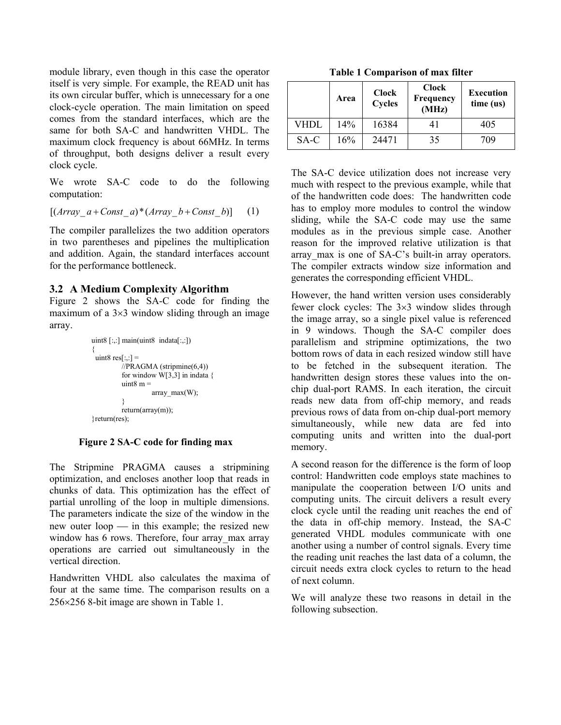module library, even though in this case the operator itself is very simple. For example, the READ unit has its own circular buffer, which is unnecessary for a one clock-cycle operation. The main limitation on speed comes from the standard interfaces, which are the same for both SA-C and handwritten VHDL. The maximum clock frequency is about 66MHz. In terms of throughput, both designs deliver a result every clock cycle.

We wrote SA-C code to do the following computation:

$$
[(Array_a + Const_a) * (Array_b + Const_b)] \qquad (1)
$$

The compiler parallelizes the two addition operators in two parentheses and pipelines the multiplication and addition. Again, the standard interfaces account for the performance bottleneck.

Figure 2 shows the SA-C code for finding the maximum of a  $3\times3$  window sliding through an image array.

```
uint8 [:.] main(uint8 indata[:.){ 
 uint8 res[:,:] =
             \overline{1}/\overline{PRAGMA} (stripmine(6,4))
             for window W[3,3] in indata {
             uint8 m = array_max(W);
\left\{\begin{array}{cc} 1 & 1 \\ 1 & 1 \end{array}\right\} return(array(m));
}return(res);
```
### **Figure 2 SA-C code for finding max**

The Stripmine PRAGMA causes a stripmining optimization, and encloses another loop that reads in chunks of data. This optimization has the effect of partial unrolling of the loop in multiple dimensions. The parameters indicate the size of the window in the new outer  $loop$  in this example; the resized new window has 6 rows. Therefore, four array max array operations are carried out simultaneously in the vertical direction.

Handwritten VHDL also calculates the maxima of four at the same time. The comparison results on a 256×256 8-bit image are shown in Table 1. We will analyze these two reasons in detail in the

**Table 1 Comparison of max filter** 

|      | Area | <b>Clock</b><br><b>Cycles</b> | <b>Clock</b><br>Frequency<br>(MHz) | <b>Execution</b><br>time (us) |
|------|------|-------------------------------|------------------------------------|-------------------------------|
| VHDL | 14%  | 16384                         | 41                                 | 405                           |
| SA-C | 16%  | 24471                         | 35                                 | 709                           |

The SA-C device utilization does not increase very much with respect to the previous example, while that of the handwritten code does: The handwritten code has to employ more modules to control the window sliding, while the SA-C code may use the same modules as in the previous simple case. Another reason for the improved relative utilization is that array max is one of SA-C's built-in array operators. The compiler extracts window size information and generates the corresponding efficient VHDL.

**3.2 A Medium Complexity Algorithm** However, the hand written version uses considerably fewer clock cycles: The 3×3 window slides through the image array, so a single pixel value is referenced in 9 windows. Though the SA-C compiler does parallelism and stripmine optimizations, the two bottom rows of data in each resized window still have to be fetched in the subsequent iteration. The handwritten design stores these values into the onchip dual-port RAMS. In each iteration, the circuit reads new data from off-chip memory, and reads previous rows of data from on-chip dual-port memory simultaneously, while new data are fed into computing units and written into the dual-port memory.

> A second reason for the difference is the form of loop control: Handwritten code employs state machines to manipulate the cooperation between I/O units and computing units. The circuit delivers a result every clock cycle until the reading unit reaches the end of the data in off-chip memory. Instead, the SA-C generated VHDL modules communicate with one another using a number of control signals. Every time the reading unit reaches the last data of a column, the circuit needs extra clock cycles to return to the head of next column.

> following subsection.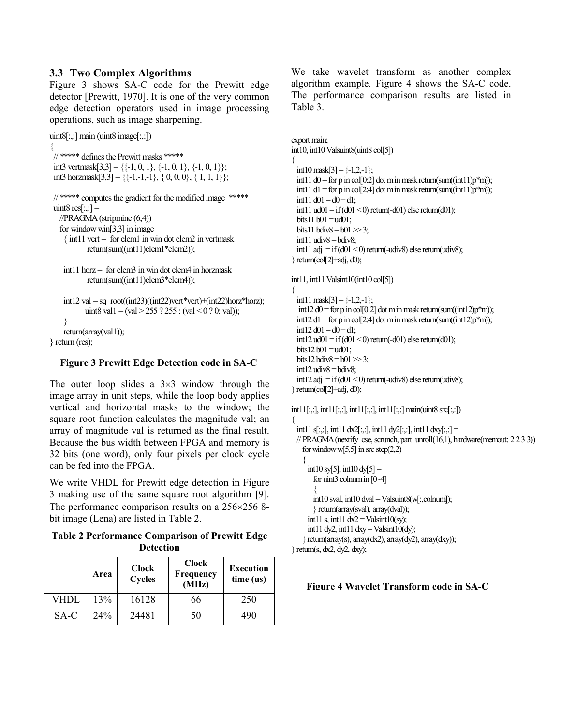Figure 3 shows SA-C code for the Prewitt edge detector [Prewitt, 1970]. It is one of the very common edge detection operators used in image processing operations, such as image sharpening.

```
uint8[:,:] main (uint8 image[:,:])
```

```
{ 
 // ***** defines the Prewitt masks *****
```

```
int3 vertmask[3,3] = \{ \{-1, 0, 1\}, \{-1, 0, 1\}, \{-1, 0, 1\} \};
```

```
int3 horzmask[3,3] = {\{-1,-1,-1\}, { 0, 0, 0}, { 1, 1, 1}};
```
### // \*\*\*\*\* computes the gradient for the modified image \*\*\*\*\* uint8 res $[::] =$ //PRAGMA (stripmine (6,4))

```
 for windowwin[3,3] in image
```

```
\{ int11 vert = for elem1 in win dot elem2 in vertmask
        return(sum((int11)elem1*elem2));
```

```
int11 horz = for elem3 in win dot elem4 in horzmask
       return(sum((int11)elem3*elem4));
```

```
int12 val = sq root((int23)((int22)vert*vert)+(int22)horz*horz);
       uint8 val1 = (val > 255 ? 255 : (val < 0 ? 0: val));
 } 
 return(array(val1));
```
} return (res);

# **Figure 3 Prewitt Edge Detection code in SA-C**

The outer loop slides a  $3\times3$  window through the image array in unit steps, while the loop body applies vertical and horizontal masks to the window; the square root function calculates the magnitude val; an array of magnitude val is returned as the final result. Because the bus width between FPGA and memory is 32 bits (one word), only four pixels per clock cycle can be fed into the FPGA.

We write VHDL for Prewitt edge detection in Figure 3 making use of the same square root algorithm [9]. The performance comparison results on a 256×256 8 bit image (Lena) are listed in Table 2.

**Table 2 Performance Comparison of Prewitt Edge Detection** 

|      | Area | <b>Clock</b><br><b>Cycles</b> | <b>Clock</b><br>Frequency<br>(MHz) | Execution<br>time (us) |
|------|------|-------------------------------|------------------------------------|------------------------|
| VHDL | 13%  | 16128                         | 66                                 | 250                    |
| SA-C | 24%  | 24481                         | 50                                 |                        |

**3.3 Two Complex Algorithms** We take wavelet transform as another complex algorithm example. Figure 4 shows the SA-C code. The performance comparison results are listed in Table 3.

```
export main; 
int10, int10 Valsuint8(uint8 col[5])
{ 
  int10 mask[3] = \{-1, 2, -1\};int11 d0 = for p in col[0:2] dot m in mask return(sum((int11)p*m));
  int11 d1 = for p in col[2:4] dot m in mask return(sum((int11)p*m));
  int11 d01 = d0 + d1;
  int11 ud01 = if (d01 < 0) return(-d01) else return(d01);
 bits11 b01 = ud01;
 bits11 bdiv8 = b01 \gg 3;
  int11 udiv8 = bdiv8;
 int11 adj = if (d01 < 0) return(-udiv8) else return(udiv8);
} return(col[2]+adj, d0); 
int11, int11 Valsint10(int10 col[5])
{ 
  int11 mask[3] = \{-1,2,-1\};
  int12 d0 = for p in col[0:2] dot m in mask return(sum((int12)p<sup>*</sup>m));
  int12 d1 = for p in col[2:4] dot m in mask return(sum((int12)p*m));
  int12 d01 = d0 + d1;int12 ud01 =if (d01 < 0) return(-d01) else return(d01);
 bits12 b01 = ud01;
 bits12 bdiv8 = b01 \gg 3;
  int12 udiv8 =bdiv8;
  int12 adj = if (d01 < 0) return(-udiv8) else return(udiv8);
\ return(col[2]+adj, d0);
int11[:,:], int11[:,:], int11[:,:], int11[:,:] main(uint8 src[:,:])
{ 
 int11 s[:,:], int11 dx2[:,:], int11 dy2[:,:], int11 dxy[:,:] =
 // PRAGMA (nextify cse, scrunch, part_unroll(16,1), hardware(memout: 2 2 3 3))
    for window \sqrt{5,5} in src step(2,2)
     {
     int10 \text{ s}y[5], int10 \text{ d}y[5] =
       for uint3 colnum in [0~4]
\sim {
       int10 sval, int10 dval = Valsuint8(w[:,colnum]);
        } return(array(sval), array(dval));
      int11 s, int11 dx2 =Valsint10(sy);
      int11 dy2, int11 dxy = Valsint10(dy);
     } return(array(s), array(dx2), array(dy2), array(dxy)); 
\} return(s, dx2, dy2, dxy);
```
### **Figure 4 Wavelet Transform code in SA-C**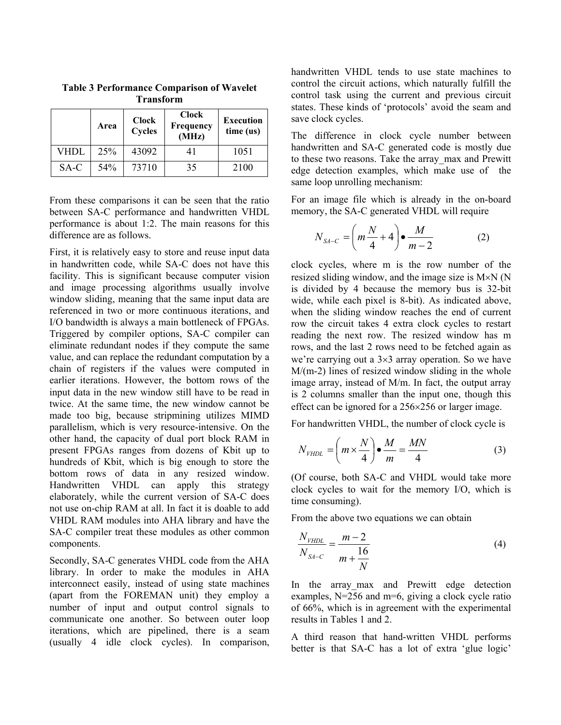|      | Area | <b>Clock</b><br><b>Cycles</b> | <b>Clock</b><br>Frequency<br>(MHz) | <b>Execution</b><br>time (us) |
|------|------|-------------------------------|------------------------------------|-------------------------------|
| VHDL | 25%  | 43092                         | 41                                 | 1051                          |
| SA-C | 54%  | 73710                         | 35                                 | 2100                          |

**Table 3 Performance Comparison of Wavelet Transform**

From these comparisons it can be seen that the ratio between SA-C performance and handwritten VHDL performance is about 1:2. The main reasons for this difference are as follows.

First, it is relatively easy to store and reuse input data in handwritten code, while SA-C does not have this facility. This is significant because computer vision and image processing algorithms usually involve window sliding, meaning that the same input data are referenced in two or more continuous iterations, and I/O bandwidth is always a main bottleneck of FPGAs. Triggered by compiler options, SA-C compiler can eliminate redundant nodes if they compute the same value, and can replace the redundant computation by a chain of registers if the values were computed in earlier iterations. However, the bottom rows of the input data in the new window still have to be read in twice. At the same time, the new window cannot be made too big, because stripmining utilizes MIMD parallelism, which is very resource-intensive. On the other hand, the capacity of dual port block RAM in present FPGAs ranges from dozens of Kbit up to hundreds of Kbit, which is big enough to store the bottom rows of data in any resized window. Handwritten VHDL can apply this strategy elaborately, while the current version of SA-C does not use on-chip RAM at all. In fact it is doable to add VHDL RAM modules into AHA library and have the SA-C compiler treat these modules as other common components.

Secondly, SA-C generates VHDL code from the AHA library. In order to make the modules in AHA interconnect easily, instead of using state machines (apart from the FOREMAN unit) they employ a number of input and output control signals to communicate one another. So between outer loop iterations, which are pipelined, there is a seam (usually 4 idle clock cycles). In comparison, handwritten VHDL tends to use state machines to control the circuit actions, which naturally fulfill the control task using the current and previous circuit states. These kinds of 'protocols' avoid the seam and save clock cycles.

The difference in clock cycle number between handwritten and SA-C generated code is mostly due to these two reasons. Take the array\_max and Prewitt edge detection examples, which make use of the same loop unrolling mechanism:

For an image file which is already in the on-board memory, the SA-C generated VHDL will require

$$
N_{S A-C} = \left(m\frac{N}{4} + 4\right) \bullet \frac{M}{m-2} \tag{2}
$$

clock cycles, where m is the row number of the resized sliding window, and the image size is M×N (N is divided by 4 because the memory bus is 32-bit wide, while each pixel is 8-bit). As indicated above, when the sliding window reaches the end of current row the circuit takes 4 extra clock cycles to restart reading the next row. The resized window has m rows, and the last 2 rows need to be fetched again as we're carrying out a 3×3 array operation. So we have M/(m-2) lines of resized window sliding in the whole image array, instead of M/m. In fact, the output array is 2 columns smaller than the input one, though this effect can be ignored for a 256×256 or larger image.

For handwritten VHDL, the number of clock cycle is

$$
N_{\text{VHDL}} = \left(m \times \frac{N}{4}\right) \bullet \frac{M}{m} = \frac{MN}{4} \tag{3}
$$

(Of course, both SA-C and VHDL would take more clock cycles to wait for the memory I/O, which is time consuming).

From the above two equations we can obtain

$$
\frac{N_{\text{VHDL}}}{N_{\text{SA}-C}} = \frac{m-2}{m+\frac{16}{N}}
$$
(4)

In the array max and Prewitt edge detection examples,  $N=256$  and  $m=6$ , giving a clock cycle ratio of 66%, which is in agreement with the experimental results in Tables 1 and 2.

A third reason that hand-written VHDL performs better is that SA-C has a lot of extra 'glue logic'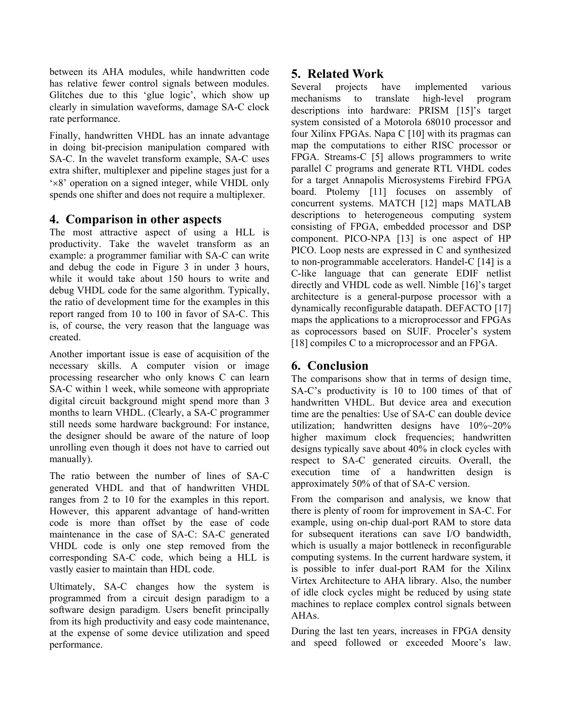between its AHA modules, while handwritten code has relative fewer control signals between modules. Glitches due to this 'glue logic', which show up clearly in simulation waveforms, damage SA-C clock rate performance.

Finally, handwritten VHDL has an innate advantage in doing bit-precision manipulation compared with SA-C. In the wavelet transform example, SA-C uses extra shifter, multiplexer and pipeline stages just for a '×8' operation on a signed integer, while VHDL only spends one shifter and does not require a multiplexer.

### **4. Comparison in other aspects**

The most attractive aspect of using a HLL is productivity. Take the wavelet transform as an example: a programmer familiar with SA-C can write and debug the code in Figure 3 in under 3 hours, while it would take about 150 hours to write and debug VHDL code for the same algorithm. Typically, the ratio of development time for the examples in this report ranged from 10 to 100 in favor of SA-C. This is, of course, the very reason that the language was created.

Another important issue is ease of acquisition of the necessary skills. A computer vision or image processing researcher who only knows C can learn SA-C within 1 week, while someone with appropriate digital circuit background might spend more than 3 months to learn VHDL. (Clearly, a SA-C programmer still needs some hardware background: For instance, the designer should be aware of the nature of loop unrolling even though it does not have to carried out manually).

The ratio between the number of lines of SA-C generated VHDL and that of handwritten VHDL ranges from 2 to 10 for the examples in this report. However, this apparent advantage of hand-written code is more than offset by the ease of code maintenance in the case of SA-C: SA-C generated VHDL code is only one step removed from the corresponding SA-C code, which being a HLL is vastly easier to maintain than HDL code.

Ultimately, SA-C changes how the system is programmed from a circuit design paradigm to a software design paradigm. Users benefit principally from its high productivity and easy code maintenance, at the expense of some device utilization and speed performance.

# **5. Related Work**

Several projects have implemented various mechanisms to translate high-level program descriptions into hardware: PRISM [15]'s target system consisted of a Motorola 68010 processor and four Xilinx FPGAs. Napa C [10] with its pragmas can map the computations to either RISC processor or FPGA. Streams-C [5] allows programmers to write parallel C programs and generate RTL VHDL codes for a target Annapolis Microsystems Firebird FPGA board. Ptolemy [11] focuses on assembly of concurrent systems. MATCH [12] maps MATLAB descriptions to heterogeneous computing system consisting of FPGA, embedded processor and DSP component. PICO-NPA [13] is one aspect of HP PICO. Loop nests are expressed in C and synthesized to non-programmable accelerators. Handel-C [14] is a C-like language that can generate EDIF netlist directly and VHDL code as well. Nimble [16]'s target architecture is a general-purpose processor with a dynamically reconfigurable datapath. DEFACTO [17] maps the applications to a microprocessor and FPGAs as coprocessors based on SUIF. Proceler's system [18] compiles C to a microprocessor and an FPGA.

## **6. Conclusion**

The comparisons show that in terms of design time, SA-C's productivity is 10 to 100 times of that of handwritten VHDL. But device area and execution time are the penalties: Use of SA-C can double device utilization; handwritten designs have 10%~20% higher maximum clock frequencies; handwritten designs typically save about 40% in clock cycles with respect to SA-C generated circuits. Overall, the execution time of a handwritten design is approximately 50% of that of SA-C version.

From the comparison and analysis, we know that there is plenty of room for improvement in SA-C. For example, using on-chip dual-port RAM to store data for subsequent iterations can save I/O bandwidth, which is usually a major bottleneck in reconfigurable computing systems. In the current hardware system, it is possible to infer dual-port RAM for the Xilinx Virtex Architecture to AHA library. Also, the number of idle clock cycles might be reduced by using state machines to replace complex control signals between AHAs.

During the last ten years, increases in FPGA density and speed followed or exceeded Moore's law.